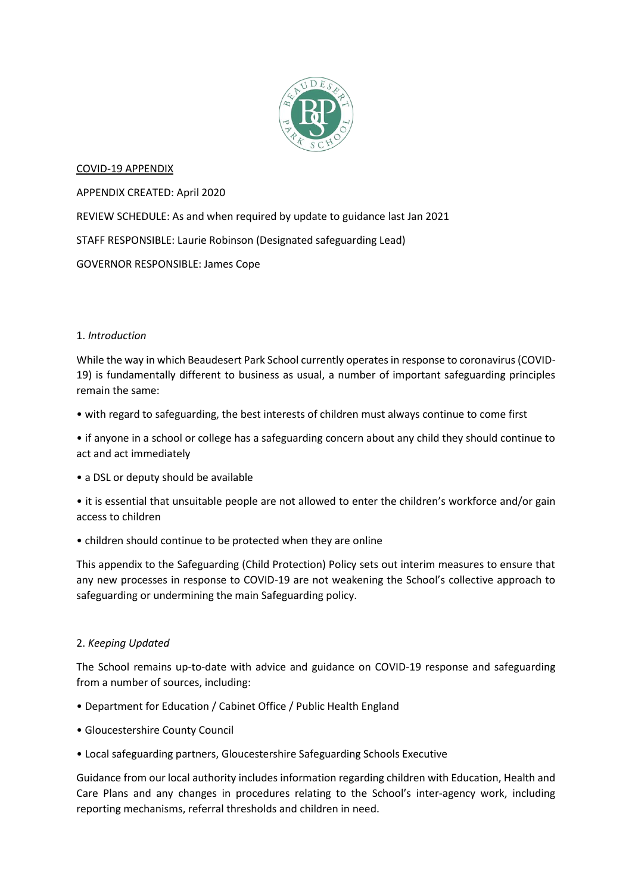

# COVID-19 APPENDIX

APPENDIX CREATED: April 2020 REVIEW SCHEDULE: As and when required by update to guidance last Jan 2021 STAFF RESPONSIBLE: Laurie Robinson (Designated safeguarding Lead) GOVERNOR RESPONSIBLE: James Cope

## 1. *Introduction*

While the way in which Beaudesert Park School currently operates in response to coronavirus (COVID-19) is fundamentally different to business as usual, a number of important safeguarding principles remain the same:

• with regard to safeguarding, the best interests of children must always continue to come first

• if anyone in a school or college has a safeguarding concern about any child they should continue to act and act immediately

• a DSL or deputy should be available

• it is essential that unsuitable people are not allowed to enter the children's workforce and/or gain access to children

• children should continue to be protected when they are online

This appendix to the Safeguarding (Child Protection) Policy sets out interim measures to ensure that any new processes in response to COVID-19 are not weakening the School's collective approach to safeguarding or undermining the main Safeguarding policy.

# 2. *Keeping Updated*

The School remains up-to-date with advice and guidance on COVID-19 response and safeguarding from a number of sources, including:

- Department for Education / Cabinet Office / Public Health England
- Gloucestershire County Council
- Local safeguarding partners, Gloucestershire Safeguarding Schools Executive

Guidance from our local authority includes information regarding children with Education, Health and Care Plans and any changes in procedures relating to the School's inter-agency work, including reporting mechanisms, referral thresholds and children in need.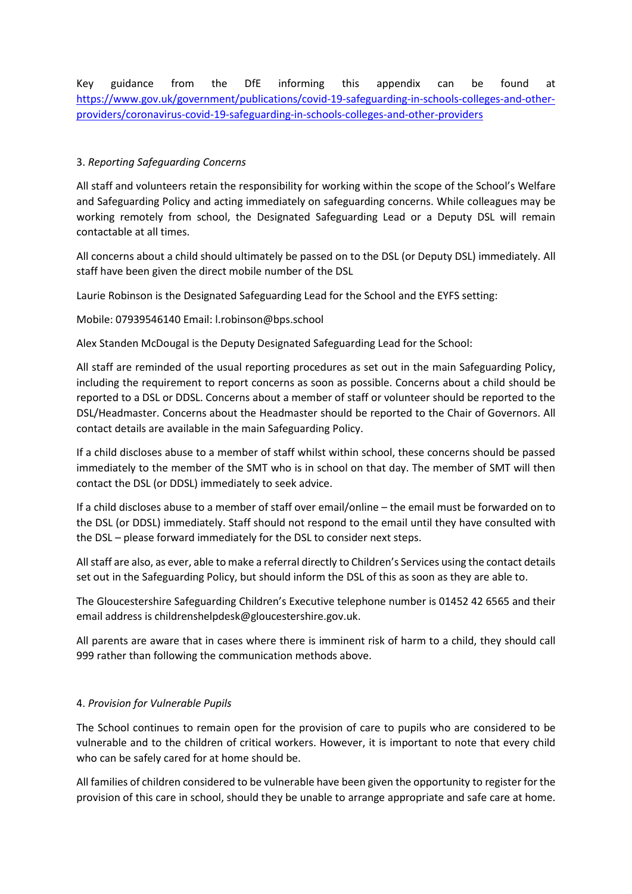Key guidance from the DfE informing this appendix can be found at [https://www.gov.uk/government/publications/covid-19-safeguarding-in-schools-colleges-and-other](https://www.gov.uk/government/publications/covid-19-safeguarding-in-schools-colleges-and-other-providers/coronavirus-covid-19-safeguarding-in-schools-colleges-and-other-providers)[providers/coronavirus-covid-19-safeguarding-in-schools-colleges-and-other-providers](https://www.gov.uk/government/publications/covid-19-safeguarding-in-schools-colleges-and-other-providers/coronavirus-covid-19-safeguarding-in-schools-colleges-and-other-providers)

# 3. *Reporting Safeguarding Concerns*

All staff and volunteers retain the responsibility for working within the scope of the School's Welfare and Safeguarding Policy and acting immediately on safeguarding concerns. While colleagues may be working remotely from school, the Designated Safeguarding Lead or a Deputy DSL will remain contactable at all times.

All concerns about a child should ultimately be passed on to the DSL (or Deputy DSL) immediately. All staff have been given the direct mobile number of the DSL

Laurie Robinson is the Designated Safeguarding Lead for the School and the EYFS setting:

Mobile: 07939546140 Email: l.robinson@bps.school

Alex Standen McDougal is the Deputy Designated Safeguarding Lead for the School:

All staff are reminded of the usual reporting procedures as set out in the main Safeguarding Policy, including the requirement to report concerns as soon as possible. Concerns about a child should be reported to a DSL or DDSL. Concerns about a member of staff or volunteer should be reported to the DSL/Headmaster. Concerns about the Headmaster should be reported to the Chair of Governors. All contact details are available in the main Safeguarding Policy.

If a child discloses abuse to a member of staff whilst within school, these concerns should be passed immediately to the member of the SMT who is in school on that day. The member of SMT will then contact the DSL (or DDSL) immediately to seek advice.

If a child discloses abuse to a member of staff over email/online – the email must be forwarded on to the DSL (or DDSL) immediately. Staff should not respond to the email until they have consulted with the DSL – please forward immediately for the DSL to consider next steps.

All staff are also, as ever, able to make a referral directly to Children's Services using the contact details set out in the Safeguarding Policy, but should inform the DSL of this as soon as they are able to.

The Gloucestershire Safeguarding Children's Executive telephone number is 01452 42 6565 and their email address is childrenshelpdesk@gloucestershire.gov.uk.

All parents are aware that in cases where there is imminent risk of harm to a child, they should call 999 rather than following the communication methods above.

## 4. *Provision for Vulnerable Pupils*

The School continues to remain open for the provision of care to pupils who are considered to be vulnerable and to the children of critical workers. However, it is important to note that every child who can be safely cared for at home should be.

All families of children considered to be vulnerable have been given the opportunity to register for the provision of this care in school, should they be unable to arrange appropriate and safe care at home.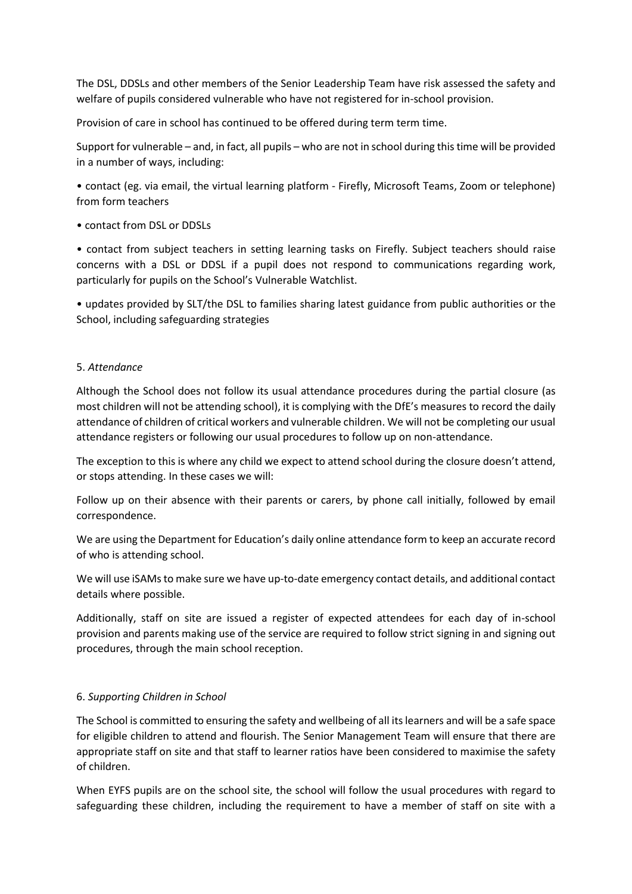The DSL, DDSLs and other members of the Senior Leadership Team have risk assessed the safety and welfare of pupils considered vulnerable who have not registered for in-school provision.

Provision of care in school has continued to be offered during term term time.

Support for vulnerable – and, in fact, all pupils – who are not in school during this time will be provided in a number of ways, including:

• contact (eg. via email, the virtual learning platform - Firefly, Microsoft Teams, Zoom or telephone) from form teachers

• contact from DSL or DDSLs

• contact from subject teachers in setting learning tasks on Firefly. Subject teachers should raise concerns with a DSL or DDSL if a pupil does not respond to communications regarding work, particularly for pupils on the School's Vulnerable Watchlist.

• updates provided by SLT/the DSL to families sharing latest guidance from public authorities or the School, including safeguarding strategies

## 5. *Attendance*

Although the School does not follow its usual attendance procedures during the partial closure (as most children will not be attending school), it is complying with the DfE's measures to record the daily attendance of children of critical workers and vulnerable children. We will not be completing our usual attendance registers or following our usual procedures to follow up on non-attendance.

The exception to this is where any child we expect to attend school during the closure doesn't attend, or stops attending. In these cases we will:

Follow up on their absence with their parents or carers, by phone call initially, followed by email correspondence.

We are using the Department for Education's daily online attendance form to keep an accurate record of who is attending school.

We will use iSAMs to make sure we have up-to-date emergency contact details, and additional contact details where possible.

Additionally, staff on site are issued a register of expected attendees for each day of in-school provision and parents making use of the service are required to follow strict signing in and signing out procedures, through the main school reception.

## 6. *Supporting Children in School*

The School is committed to ensuring the safety and wellbeing of all its learners and will be a safe space for eligible children to attend and flourish. The Senior Management Team will ensure that there are appropriate staff on site and that staff to learner ratios have been considered to maximise the safety of children.

When EYFS pupils are on the school site, the school will follow the usual procedures with regard to safeguarding these children, including the requirement to have a member of staff on site with a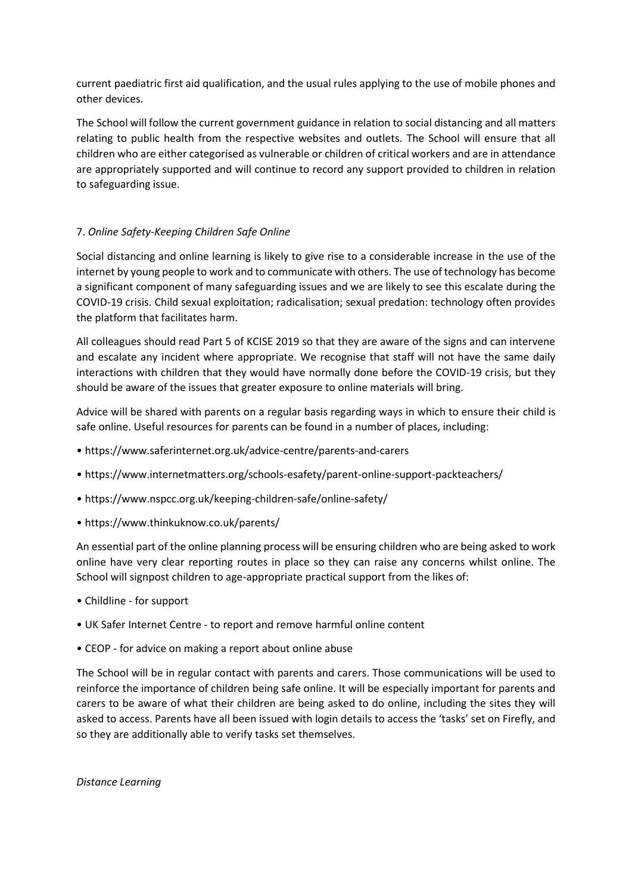current paediatric first aid qualification, and the usual rules applying to the use of mobile phones and other devices.

The School will follow the current government guidance in relation to social distancing and all matters relating to public health from the respective websites and outlets. The School will ensure that all children who are either categorised as vulnerable or children of critical workers and are in attendance are appropriately supported and will continue to record any support provided to children in relation to safeguarding issue.

# 7. *Online Safety-Keeping Children Safe Online*

Social distancing and online learning is likely to give rise to a considerable increase in the use of the internet by young people to work and to communicate with others. The use of technology has become a significant component of many safeguarding issues and we are likely to see this escalate during the COVID-19 crisis. Child sexual exploitation; radicalisation; sexual predation: technology often provides the platform that facilitates harm.

All colleagues should read Part 5 of KCISE 2019 so that they are aware of the signs and can intervene and escalate any incident where appropriate. We recognise that staff will not have the same daily interactions with children that they would have normally done before the COVID-19 crisis, but they should be aware of the issues that greater exposure to online materials will bring.

Advice will be shared with parents on a regular basis regarding ways in which to ensure their child is safe online. Useful resources for parents can be found in a number of places, including:

- https://www.saferinternet.org.uk/advice-centre/parents-and-carers
- https://www.internetmatters.org/schools-esafety/parent-online-support-packteachers/
- https://www.nspcc.org.uk/keeping-children-safe/online-safety/
- https://www.thinkuknow.co.uk/parents/

An essential part of the online planning process will be ensuring children who are being asked to work online have very clear reporting routes in place so they can raise any concerns whilst online. The School will signpost children to age-appropriate practical support from the likes of:

- Childline for support
- UK Safer Internet Centre to report and remove harmful online content
- CEOP for advice on making a report about online abuse

The School will be in regular contact with parents and carers. Those communications will be used to reinforce the importance of children being safe online. It will be especially important for parents and carers to be aware of what their children are being asked to do online, including the sites they will asked to access. Parents have all been issued with login details to access the 'tasks' set on Firefly, and so they are additionally able to verify tasks set themselves.

*Distance Learning*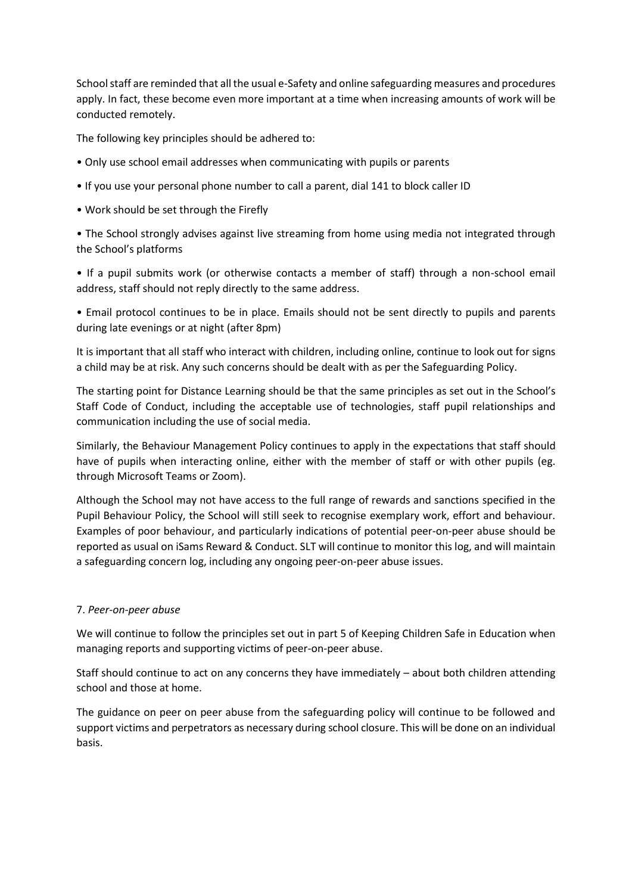School staff are reminded that all the usual e-Safety and online safeguarding measures and procedures apply. In fact, these become even more important at a time when increasing amounts of work will be conducted remotely.

The following key principles should be adhered to:

- Only use school email addresses when communicating with pupils or parents
- If you use your personal phone number to call a parent, dial 141 to block caller ID
- Work should be set through the Firefly

• The School strongly advises against live streaming from home using media not integrated through the School's platforms

• If a pupil submits work (or otherwise contacts a member of staff) through a non-school email address, staff should not reply directly to the same address.

• Email protocol continues to be in place. Emails should not be sent directly to pupils and parents during late evenings or at night (after 8pm)

It is important that all staff who interact with children, including online, continue to look out for signs a child may be at risk. Any such concerns should be dealt with as per the Safeguarding Policy.

The starting point for Distance Learning should be that the same principles as set out in the School's Staff Code of Conduct, including the acceptable use of technologies, staff pupil relationships and communication including the use of social media.

Similarly, the Behaviour Management Policy continues to apply in the expectations that staff should have of pupils when interacting online, either with the member of staff or with other pupils (eg. through Microsoft Teams or Zoom).

Although the School may not have access to the full range of rewards and sanctions specified in the Pupil Behaviour Policy, the School will still seek to recognise exemplary work, effort and behaviour. Examples of poor behaviour, and particularly indications of potential peer-on-peer abuse should be reported as usual on iSams Reward & Conduct. SLT will continue to monitor this log, and will maintain a safeguarding concern log, including any ongoing peer-on-peer abuse issues.

## 7. *Peer-on-peer abuse*

We will continue to follow the principles set out in part 5 of Keeping Children Safe in Education when managing reports and supporting victims of peer-on-peer abuse.

Staff should continue to act on any concerns they have immediately – about both children attending school and those at home.

The guidance on peer on peer abuse from the safeguarding policy will continue to be followed and support victims and perpetrators as necessary during school closure. This will be done on an individual basis.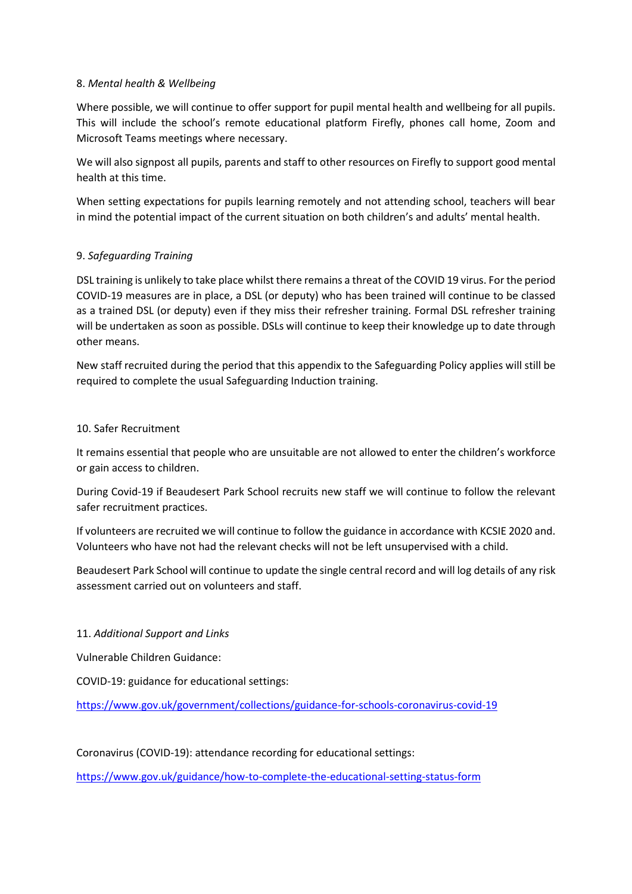## 8. *Mental health & Wellbeing*

Where possible, we will continue to offer support for pupil mental health and wellbeing for all pupils. This will include the school's remote educational platform Firefly, phones call home, Zoom and Microsoft Teams meetings where necessary.

We will also signpost all pupils, parents and staff to other resources on Firefly to support good mental health at this time.

When setting expectations for pupils learning remotely and not attending school, teachers will bear in mind the potential impact of the current situation on both children's and adults' mental health.

## 9. *Safeguarding Training*

DSL training is unlikely to take place whilst there remains a threat of the COVID 19 virus. For the period COVID-19 measures are in place, a DSL (or deputy) who has been trained will continue to be classed as a trained DSL (or deputy) even if they miss their refresher training. Formal DSL refresher training will be undertaken as soon as possible. DSLs will continue to keep their knowledge up to date through other means.

New staff recruited during the period that this appendix to the Safeguarding Policy applies will still be required to complete the usual Safeguarding Induction training.

## 10. Safer Recruitment

It remains essential that people who are unsuitable are not allowed to enter the children's workforce or gain access to children.

During Covid-19 if Beaudesert Park School recruits new staff we will continue to follow the relevant safer recruitment practices.

If volunteers are recruited we will continue to follow the guidance in accordance with KCSIE 2020 and. Volunteers who have not had the relevant checks will not be left unsupervised with a child.

Beaudesert Park School will continue to update the single central record and will log details of any risk assessment carried out on volunteers and staff.

## 11. *Additional Support and Links*

Vulnerable Children Guidance:

COVID-19: guidance for educational settings:

<https://www.gov.uk/government/collections/guidance-for-schools-coronavirus-covid-19>

Coronavirus (COVID-19): attendance recording for educational settings:

<https://www.gov.uk/guidance/how-to-complete-the-educational-setting-status-form>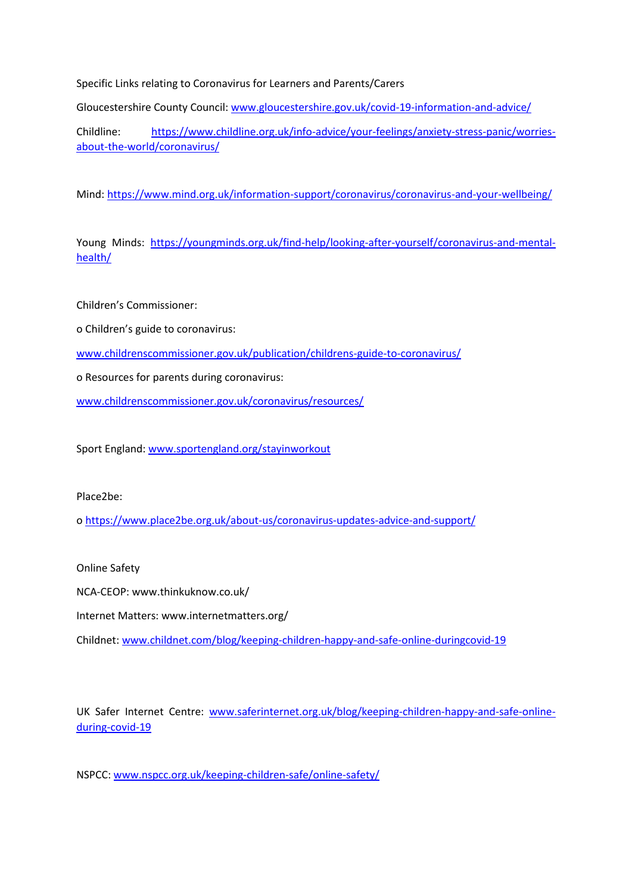Specific Links relating to Coronavirus for Learners and Parents/Carers

Gloucestershire County Council[: www.gloucestershire.gov.uk/covid-19-information-and-advice/](http://www.gloucestershire.gov.uk/covid-19-information-and-advice/)

Childline: [https://www.childline.org.uk/info-advice/your-feelings/anxiety-stress-panic/worries](https://www.childline.org.uk/info-advice/your-feelings/anxiety-stress-panic/worries-about-the-world/coronavirus/)[about-the-world/coronavirus/](https://www.childline.org.uk/info-advice/your-feelings/anxiety-stress-panic/worries-about-the-world/coronavirus/)

Mind:<https://www.mind.org.uk/information-support/coronavirus/coronavirus-and-your-wellbeing/>

Young Minds: [https://youngminds.org.uk/find-help/looking-after-yourself/coronavirus-and-mental](https://youngminds.org.uk/find-help/looking-after-yourself/coronavirus-and-mental-health/)[health/](https://youngminds.org.uk/find-help/looking-after-yourself/coronavirus-and-mental-health/)

Children's Commissioner:

o Children's guide to coronavirus:

[www.childrenscommissioner.gov.uk/publication/childrens-guide-to-coronavirus/](http://www.childrenscommissioner.gov.uk/publication/childrens-guide-to-coronavirus/)

o Resources for parents during coronavirus:

[www.childrenscommissioner.gov.uk/coronavirus/resources/](http://www.childrenscommissioner.gov.uk/coronavirus/resources/)

Sport England: [www.sportengland.org/stayinworkout](http://www.sportengland.org/stayinworkout)

Place2be:

o<https://www.place2be.org.uk/about-us/coronavirus-updates-advice-and-support/>

Online Safety

NCA-CEOP: www.thinkuknow.co.uk/

Internet Matters: www.internetmatters.org/

Childnet: [www.childnet.com/blog/keeping-children-happy-and-safe-online-duringcovid-19](http://www.childnet.com/blog/keeping-children-happy-and-safe-online-duringcovid-19)

UK Safer Internet Centre: [www.saferinternet.org.uk/blog/keeping-children-happy-and-safe-online](http://www.saferinternet.org.uk/blog/keeping-children-happy-and-safe-online-during-covid-19)[during-covid-19](http://www.saferinternet.org.uk/blog/keeping-children-happy-and-safe-online-during-covid-19)

NSPCC: [www.nspcc.org.uk/keeping-children-safe/online-safety/](http://www.nspcc.org.uk/keeping-children-safe/online-safety/)